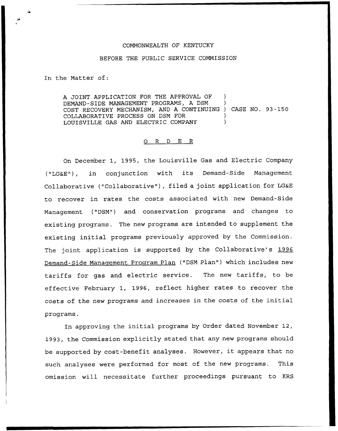## COMMONNEALTH OF KENTUCKY

## BEFORE THE PUBLIC SERVICE COMMISSION

In the Matter of:

A JOINT APPLICATION FOR THE APPROVAL OF DEMAND-SIDE MANAGEMENT PROGRAMS, A DSM ) COST RECOVERY MECHANISM, AND <sup>A</sup> CONTINUING ) CASE NO. 93 —150 COLLABORATIVE PROCESS ON DSM FOR ) LOUISVILLE GAS AND ELECTRIC COMPANY )

## 0 R <sup>D</sup> E R

On December 1, 1995, the Louisville Gas and Electric Company ("LG&E"), in conjunction with its Demand-Side Management Collaborative ("Collaborative" ), filed <sup>a</sup> joint application for LG&E to recover in rates the costs associated with new Demand-Side Management ("DSM") and conservation programs and changes to existing programs. The new programs are intended to supplement the existing initial programs previously approved by the Commission. The joint application is supported by the Collaborative's 1996 Demand-Side Management Program Plan ("DSM Plan") which includes new tariffs for gas and electric service. The new tariffs, to be effective February 1, 1996, reflect higher rates to recover the costs of the new programs and increases in the costs of the initial programs.

In approving the initial programs by Order dated November 12, 1993, the Commission explicitly stated that any new programs should be supported by cost-benefit analyses. However, it appears that no such analyses were performed for most of the new programs. This omission will necessitate further proceedings pursuant to KRS